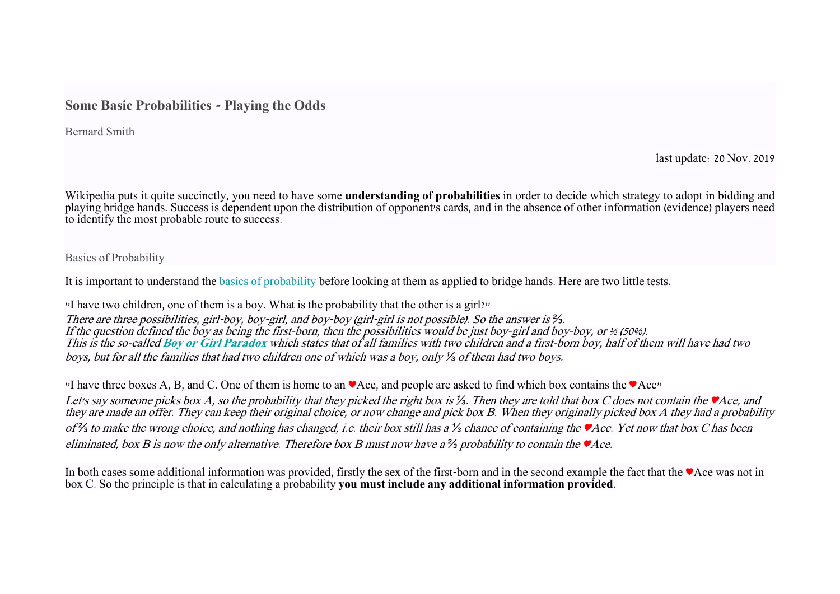# **Some Basic Probabilities - Playing the Odds**

Bernard Smith

last update: 20 Nov. 2019

Wikipedia puts it quite succinctly, you need to have some **understanding of probabilities** in order to decide which strategy to adopt in bidding and playing bridge hands. Success is dependent upon the distribution of opponent's cards, and in the absence of other information (evidence) players need to identify the most probable route to success.

Basics of Probability

It is important to understand the [basics of probability](https://en.wikipedia.org/wiki/Probability_theory) before looking at them as applied to bridge hands. Here are two little tests.

"I have two children, one of them is a boy. What is the probability that the other is a girl?" There are three possibilities, girl-boy, boy-girl, and boy-boy (girl-girl is not possible). So the answer is *⅔*. If the question defined the boy as being the first-born, then the possibilities would be just boy-girl and boy-boy, or ½ (50%). This is the so-called **[Boy or Girl Paradox](https://en.wikipedia.org/wiki/Boy_or_Girl_paradox)** which states that of all families with two children and a first-born boy, half of them will have had two boys, but for all the families that had two children one of which was a boy, only *⅓* of them had two boys.

"I have three boxes A, B, and C. One of them is home to an ♥Ace, and people are asked to find which box contains the ♥Ace"

Let's say someone picks box A, so the probability that they picked the right box is *⅓*. Then they are told that box C does not contain the ♥Ace, and they are made an offer. They can keep their original choice, or now change and pick box B. When they originally picked box A they had a probability of *⅔* to make the wrong choice, and nothing has changed, i.e. their box still has a *⅓* chance of containing the ♥Ace. Yet now that box C has been eliminated, box B is now the only alternative. Therefore box B must now have a *⅔* probability to contain the ♥Ace.

In both cases some additional information was provided, firstly the sex of the first-born and in the second example the fact that the ♥Ace was not in box C. So the principle is that in calculating a probability **you must include any additional information provided**.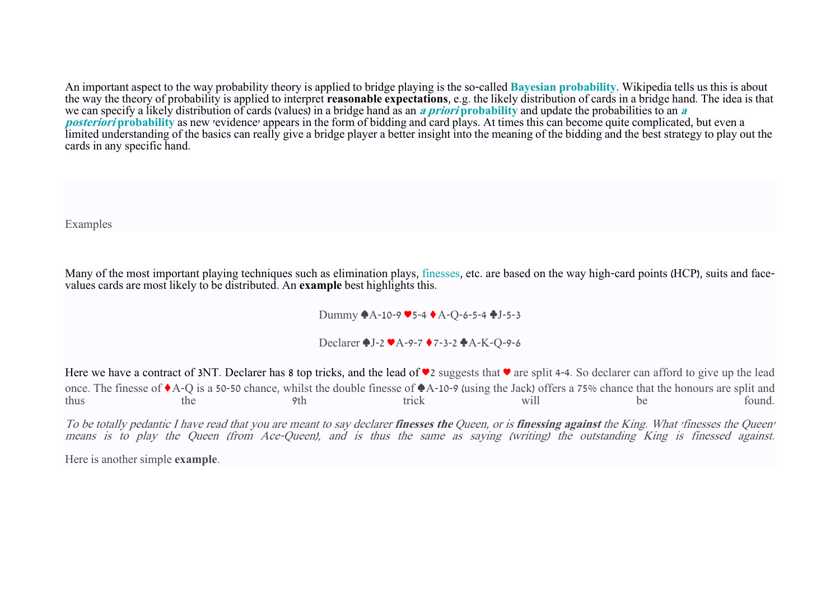An important aspect to the way probability theory is applied to bridge playing is the so-called **[Bayesian probability](https://en.wikipedia.org/wiki/Bayesian_probability)**. Wikipedia tells us this is about the way the theory of probability is applied to interpret **reasonable expectations**, e.g. the likely distribution of cards in a bridge h[and. The idea is that](https://en.wikipedia.org/wiki/Posterior_probability)  we can specify a likely distribution of cards (values) in a bridge hand as an **[a priori](https://en.wikipedia.org/wiki/Prior_probability) [probability](https://en.wikipedia.org/wiki/Prior_probability)** and update the probabilities to an **<sup>a</sup> [posteriori](https://en.wikipedia.org/wiki/Posterior_probability)** [probability](https://en.wikipedia.org/wiki/Posterior_probability) as new 'evidence' appears in the form of bidding and card plays. At times this can become quite complicated, but even a limited understanding of the basics can really give a bridge player a better insight into the meaning of the bidding and the best strategy to play out the cards in any specific hand.

Examples

Many of the most important playing techniques such as elimination plays, [finesses,](https://en.wikipedia.org/wiki/Finesse) etc. are based on the way high-card points (HCP), suits and facevalues cards are most likely to be distributed. An **example** best highlights this.

Dummy ♠A-10-9 ♥5-4 ♦A-Q-6-5-4 ♣J-5-3

Declarer ♠J-2 ♥A-9-7 ♦7-3-2 ♣A-K-Q-9-6

Here we have a contract of 3NT. Declarer has 8 top tricks, and the lead of ♥2 suggests that ♥ are split 4-4. So declarer can afford to give up the lead once. The finesse of ♦A-Q is a 50-50 chance, whilst the double finesse of ♠A-10-9 (using the Jack) offers a 75% chance that the honours are split and thus the 9th trick will be found.

To be totally pedantic I have read that you are meant to say declarer **finesses the** Queen, or is **finessing against** the King. What 'finesses the Queen' means is to play the Queen (from Ace-Queen), and is thus the same as saying (writing) the outstanding King is finessed against.

Here is another simple **example**.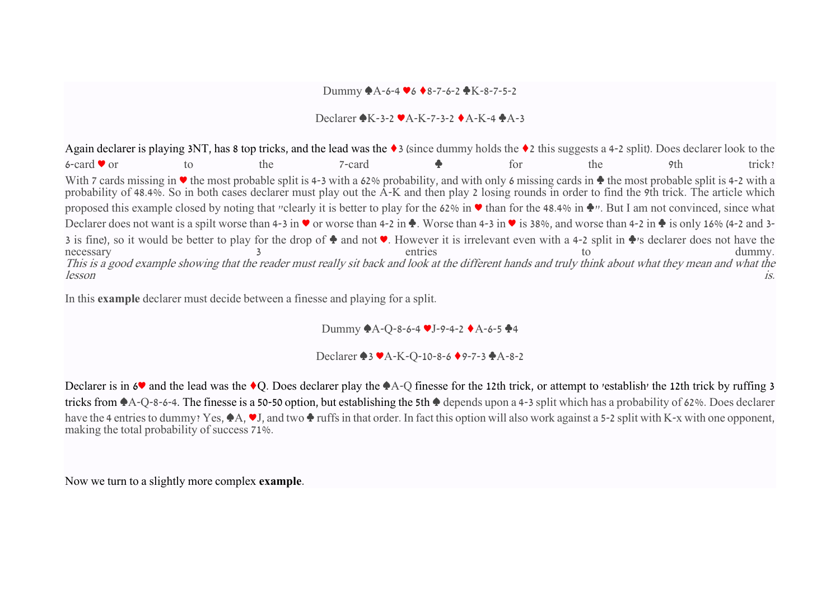### Dummy ♠A-6-4 ♥6 ♦8-7-6-2 ♣K-8-7-5-2

### Declarer ♠K-3-2 ♥A-K-7-3-2 ♦A-K-4 ♣A-3

Again declarer is playing 3NT, has 8 top tricks, and the lead was the ♦3 (since dummy holds the ♦2 this suggests a 4-2 split). Does declarer look to the 6-card  $\bullet$  or to the 7-card  $\bullet$  for the 9th trick? With 7 cards missing in ♥ the most probable split is 4-3 with a 62% probability, and with only 6 missing cards in ♦ the most probable split is 4-2 with a probability of 48.4%. So in both cases declarer must play out the A-K and then play 2 losing rounds in order to find the 9th trick. The article which proposed this example closed by noting that "clearly it is better to play for the 62% in ♥ than for the 48.4% in ♦". But I am not convinced, since what Declarer does not want is a spilt worse than 4-3 in ♥ or worse than 4-2 in ♦. Worse than 4-3 in ♥ is 38%, and worse than 4-2 in ♦ is only 16% (4-2 and 3-3 is fine), so it would be better to play for the drop of  $\bullet$  and not  $\bullet$ . However it is irrelevant even with a 4-2 split in  $\bullet$ 's declarer does not have the dummy. necessary 3 entries to dummy. This is a good example showing that the reader must really sit back and look at the different hands and truly think about what they mean and what the lesson is.

In this **example** declarer must decide between a finesse and playing for a split.

Dummy ♠A-Q-8-6-4 ♥J-9-4-2 ♦A-6-5 ♣4

Declarer ♠3 ♥A-K-Q-10-8-6 ♦9-7-3 ♣A-8-2

Declarer is in 6<sup> $\bullet$ </sup> and the lead was the  $\bullet$ Q. Does declarer play the  $\bullet$ A-Q finesse for the 12th trick, or attempt to 'establish' the 12th trick by ruffing 3 tricks from ♠A-Q-8-6-4. The finesse is a 50-50 option, but establishing the 5th ♠ depends upon a 4-3 split which has a probability of 62%. Does declarer have the 4 entries to dummy? Yes, ◆A, ◆J, and two ◆ ruffs in that order. In fact this option will also work against a 5-2 split with K-x with one opponent, making the total probability of success 71%.

Now we turn to a slightly more complex **example**.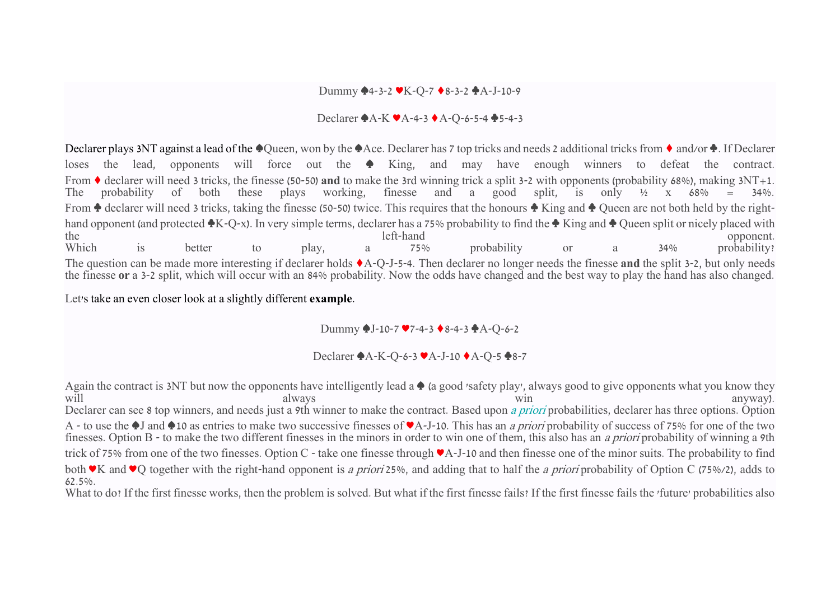#### Dummy ♠4-3-2 ♥K-Q-7 ♦8-3-2 ♣A-J-10-9

#### Declarer ♠A-K ♥A-4-3 ♦A-Q-6-5-4 ♣5-4-3

Declarer plays 3NT against a lead of the  $\triangle$ Queen, won by the  $\triangle$ Ace. Declarer has 7 top tricks and needs 2 additional tricks from  $\triangle$  and/or  $\triangle$ . If Declarer loses the lead, opponents will force out the ♠ King, and may have enough winners to defeat the contract. From  $\bullet$  declarer will need 3 tricks, the finesse (50-50) **and** to make the 3rd winning trick a split 3-2 with opponents (probability 68%), making 3NT+1.<br>The probability of both these plays working, finesse and a good sp The probability of both these plays working, finesse and a good split, is only ½ x 68% = 34%. From ♦ declarer will need 3 tricks, taking the finesse (50-50) twice. This requires that the honours ♦ King and ♦ Queen are not both held by the righthand opponent (and protected ♦K-Q-x). In very simple terms, declarer has a 75% probability to find the ♦ King and ♦ Queen split or nicely placed with the left-hand opponent. the left-hand opponent. Which is better to play, a 75% probability or a 34% probability? The question can be made more interesting if declarer holds ♦A-Q-J-5-4. Then declarer no longer needs the finesse **and** the split 3-2, but only needs the finesse **or** a 3-2 split, which will occur with an 84% probability. Now the odds have changed and the best way to play the hand has also changed.

Let's take an even closer look at a slightly different **example**.

Dummy ♠J-10-7 ♥7-4-3 ♦8-4-3 ♣A-Q-6-2

Declarer ♠A-K-Q-6-3 ♥A-J-10 ♦A-Q-5 ♣8-7

Again the contract is 3NT but now the opponents have intelligently lead a ♦ (a good 'safety play', always good to give opponents what you know they always anyway). will always anyway). Declarer can see 8 top winners, and needs just a 9th winner to make the contract. Based upon [a priori](https://en.wikipedia.org/wiki/A_priori_probability) probabilities, declarer has three options. Option A - to use the ♠J and ♠10 as entries to make two successive finesses of ♥A-J-10. This has an a priori probability of success of 75% for one of the two finesses. Option B - to make the two different finesses in the minors in order to win one of them, this also has an a priori probability of winning a 9th trick of 75% from one of the two finesses. Option C - take one finesse through ♥A-J-10 and then finesse one of the minor suits. The probability to find both ♥K and ♥Q together with the right-hand opponent is a priori 25%, and adding that to half the a priori probability of Option C (75%/2), adds to 62.5%. What to do? If the first finesse works, then the problem is solved. But what if the first finesse fails? If the first finesse fails the 'future' probabilities also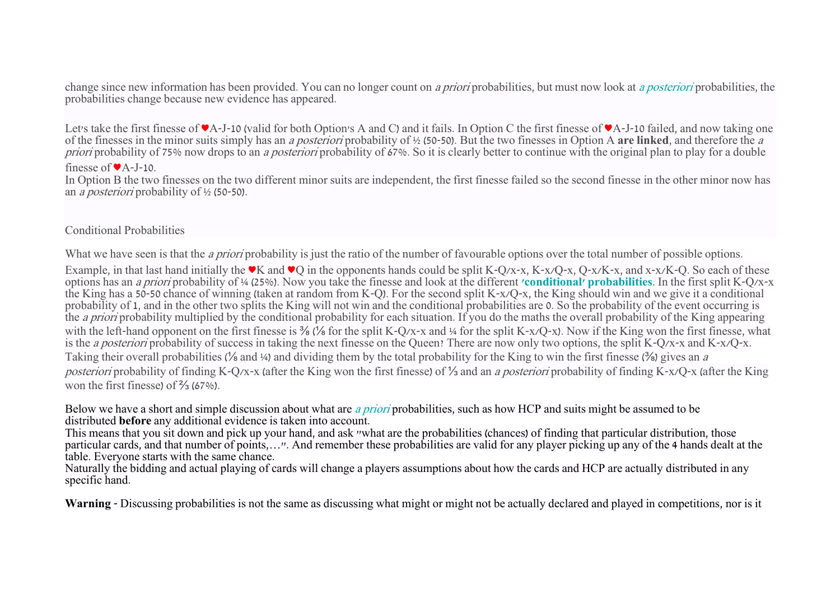change since new information has been provided. You can no longer count on a priori probabilities, but must now look at [a posteriori](https://en.wikipedia.org/wiki/A_priori_and_a_posteriori) probabilities, the probabilities change because new evidence has appeared.

Let's take the first finesse of ♥A-J-10 (valid for both Option's A and C) and it fails. In Option C the first finesse of ♥A-J-10 failed, and now taking one of the finesses in the minor suits simply has an a posteriori probability of ½ (50-50). But the two finesses in Option A **are linked**, and therefore the <sup>a</sup> priori probability of 75% now drops to an *a posteriori* probability of 67%. So it is clearly better to continue with the original plan to play for a double

#### finesse of ♥A-J-10.

In Option B the two finesses on the two different minor suits are independent, the first finesse failed so the second finesse in the other minor now has an a posteriori probability of ½ (50-50).

# Conditional Probabilities

What we have seen is that the *a priori* probability is just the ratio of the number of favourable options over the total number of possible options.

Example, in that last hand initially the  $\blacktriangledown K$  and  $\blacktriangledown O$  in the opponents hands could be split K-Q/x-x, K-x/Q-x, Q-x/K-x, and x-x/K-Q. So each of these options has an a priori probability of ¼ (25%). Now you take the finesse and look at the different **['conditional' probabilities](https://en.wikipedia.org/wiki/Conditional_probability)**. In the first split K-Q/x-x the King has a 50-50 chance of winning (taken at random from K-Q). For the second split K-x/Q-x, the King should win and we give it a conditional probability of 1, and in the other two splits the King will not win and the conditional probabilities are 0. So the probability of the event occurring is the *a priori* probability multiplied by the conditional probability for each situation. If you do the maths the overall probability of the King appearing with the left-hand opponent on the first finesse is <sup>3/8</sup> (<sup>1/8</sup> for the split K-Q/x-x and ¼ for the split K-x/Q-x). Now if the King won the first finesse, what is the a posteriori probability of success in taking the next finesse on the Queen? There are now only two options, the split K-Q/x-x and K-x/Q-x. Taking their overall probabilities (<sup>1</sup>/<sub>8</sub> and <sup>1</sup>/<sub>4</sub>) and dividing them by the total probability for the King to win the first finesse (<sup>3</sup>/<sub>8</sub>) gives an a posteriori probability of finding K-Q/x-x (after the King won the first finesse) of ⅓ and an a posteriori probability of finding K-x/Q-x (after the King won the first finesse) of ⅔ (67%).

Below we have a short and simple discussion about what are [a priori](https://en.wikipedia.org/wiki/A_priori_probability) probabilities, such as how HCP and suits might be assumed to be distributed **before** any additional evidence is taken into account.

This means that you sit down and pick up your hand, and ask "what are the probabilities (chances) of finding that particular distribution, those particular cards, and that number of points,…". And remember these probabilities are valid for any player picking up any of the 4 hands dealt at the table. Everyone starts with the same chance.

Naturally the bidding and actual playing of cards will change a players assumptions about how the cards and HCP are actually distributed in any specific hand.

**Warning** - Discussing probabilities is not the same as discussing what might or might not be actually declared and played in competitions, nor is it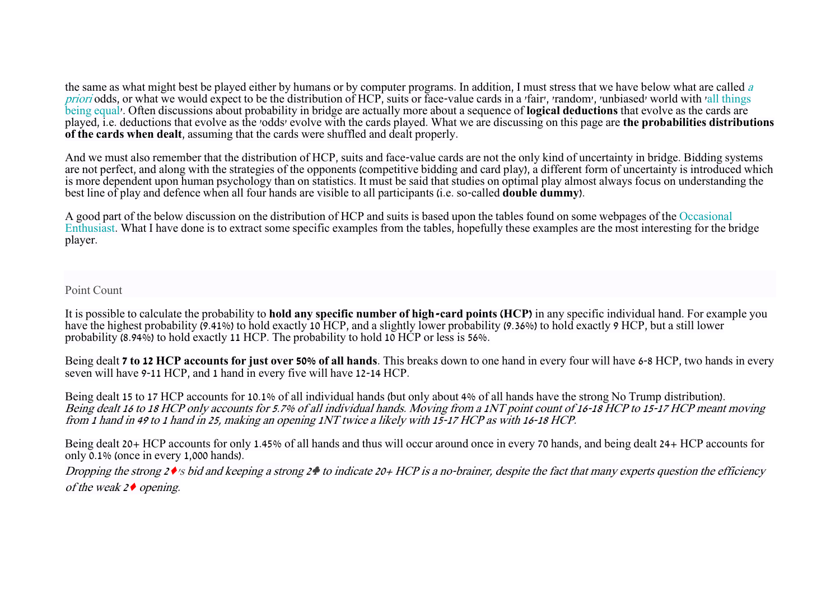the same as what might best be played either by humans or by computer programs. In addition, I must stress that we have below what are called a [priori](https://en.wikipedia.org/wiki/A_priori_probability) odds, or what we would expect to be the distribution of HCP, suits or face-value cards in a 'fair', 'random', 'unbiased' world with 'all things [being equal'](https://en.wikipedia.org/wiki/Ceteris_paribus). Often discussions about probability in bridge are actually more about a sequence of **logical deductions** that evolve as the cards are played, i.e. deductions that evolve as the 'odds' evolve with the cards played. What we are discussing on this page are **the probabilities distributions of the cards when dealt**, assuming that the cards were shuffled and dealt properly.

And we must also remember that the distribution of HCP, suits and face-value cards are not the only kind of uncertainty in bridge. Bidding systems are not perfect, and along with the strategies of the opponents (competitive bidding and card play), a different form of uncertainty is introduced which is more dependent upon human psychology than on statistics. It must be said that studies on optimal play almost always focus on understanding the best line of play and defence when all four hands are visible to all participants (i.e. so-called **double dummy**).

A good part of the below discussion on the distribution of HCP and suits is based upon the tables found on some webpages of the [Occasional](http://www.occasionalenthusiast.com/bridge-hand-probability-analysis/)  [Enthusiast.](http://www.occasionalenthusiast.com/bridge-hand-probability-analysis/) What I have done is to extract some specific examples from the tables, hopefully these examples are the most interesting for the bridge player.

Point Count

It is possible to calculate the probability to **hold any specific number of high-card points (HCP)** in any specific individual hand. For example you have the highest probability  $(9.41\%)$  to hold exactly 10 HCP, and a slightly lower probability (9.36%) to hold exactly 9 HCP, but a still lower probability (8.94%) to hold exactly 11 HCP. The probability to hold 10 HCP or less is 56%.

Being dealt **7 to 12 HCP accounts for just over 50% of all hands**. This breaks down to one hand in every four will have 6-8 HCP, two hands in every seven will have 9-11 HCP, and 1 hand in every five will have 12-14 HCP.

Being dealt 15 to 17 HCP accounts for 10.1% of all individual hands (but only about 4% of all hands have the strong No Trump distribution). Being dealt 16 to 18 HCP only accounts for 5.7% of all individual hands. Moving from a 1NT point count of 16-18 HCP to 15-17 HCP meant moving from 1 hand in 49 to 1 hand in 25, making an opening 1NT twice a likely with 15-17 HCP as with 16-18 HCP.

Being dealt 20+ HCP accounts for only 1.45% of all hands and thus will occur around once in every 70 hands, and being dealt 24+ HCP accounts for only 0.1% (once in every 1,000 hands).

Dropping the strong  $2 \cdot s$  bid and keeping a strong  $2 \cdot t$  to indicate 20+ HCP is a no-brainer, despite the fact that many experts question the efficiency of the weak  $2 \triangleleft$  opening.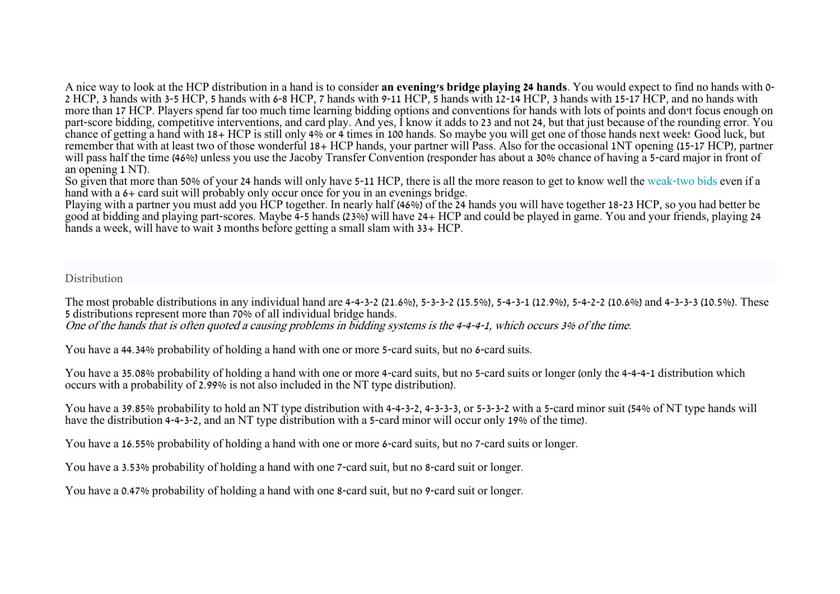A nice way to look at the HCP distribution in a hand is to consider **an evening's bridge playing 24 hands**. You would expect to find no hands with 0- 2 HCP, 3 hands with 3-5 HCP, 5 hands with 6-8 HCP, 7 hands with 9-11 HCP, 5 hands with 12-14 HCP, 3 hands with 15-17 HCP, and no hands with more than 17 HCP. Players spend far too much time learning bidding options and conventions for hands with lots of points and don't focus enough on part-score bidding, competitive interventions, and card play. And yes, I know it adds to 23 and not 24, but that just because of the rounding error. You chance of getting a hand with 18+ HCP is still only 4% or 4 times in 100 hands. So maybe you will get one of those hands next week! Good luck, but remember that with at least two of those wonderful 18+ HCP hands, your partner will Pass. Also for the occasional 1NT opening (15-17 HCP), partner will pass half the time (46%) unless you use the Jacoby Transfer Convention (responder has about a 30% chance of having a 5-card major in front of an opening 1 NT).

So given that more than 50% of your 24 hands will only have 5-11 HCP, there is all the more reason to get to know well the [weak-two bids](https://en.wikipedia.org/wiki/Weak_two_bid) even if a hand with a  $6+$  card suit will probably only occur once for you in an evenings bridge.

Playing with a partner you must add you HCP together. In nearly half (46%) of the 24 hands you will have together 18-23 HCP, so you had better be good at bidding and playing part-scores. Maybe 4-5 hands (23%) will have 24+ HCP and could be played in game. You and your friends, playing 24 hands a week, will have to wait 3 months before getting a small slam with 33+ HCP.

Distribution

The most probable distributions in any individual hand are 4-4-3-2 (21.6%), 5-3-3-2 (15.5%), 5-4-3-1 (12.9%), 5-4-2-2 (10.6%) and 4-3-3-3 (10.5%). These 5 distributions represent more than 70% of all individual bridge hands.

One of the hands that is often quoted a causing problems in bidding systems is the 4-4-4-1, which occurs 3% of the time.

You have a 44.34% probability of holding a hand with one or more 5-card suits, but no 6-card suits.

You have a 35.08% probability of holding a hand with one or more 4-card suits, but no 5-card suits or longer (only the 4-4-4-1 distribution which occurs with a probability of 2.99% is not also included in the NT type distribution).

You have a 39.85% probability to hold an NT type distribution with 4-4-3-2, 4-3-3-3, or 5-3-3-2 with a 5-card minor suit (54% of NT type hands will have the distribution 4-4-3-2, and an NT type distribution with a 5-card minor will occur only 19% of the time).

You have a 16.55% probability of holding a hand with one or more 6-card suits, but no 7-card suits or longer.

You have a 3.53% probability of holding a hand with one 7-card suit, but no 8-card suit or longer.

You have a 0.47% probability of holding a hand with one 8-card suit, but no 9-card suit or longer.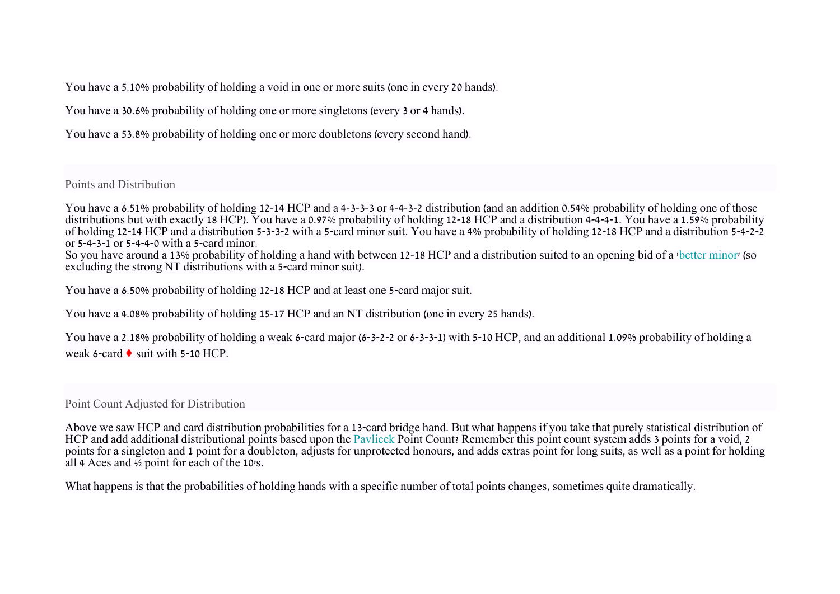You have a 5.10% probability of holding a void in one or more suits (one in every 20 hands).

You have a 30.6% probability of holding one or more singletons (every 3 or 4 hands).

You have a 53.8% probability of holding one or more doubletons (every second hand).

Points and Distribution

You have a 6.51% probability of holding 12-14 HCP and a 4-3-3-3 or 4-4-3-2 distribution (and an addition 0.54% probability of holding one of those distributions but with exactly 18 HCP). You have a 0.97% probability of holding 12-18 HCP and a distribution 4-4-4-1. You have a 1.59% probability of holding 12-14 HCP and a distribution 5-3-3-2 with a 5-card minor suit. You have a 4% probability of holding 12-18 HCP and a distribution 5-4-2-2 or 5-4-3-1 or 5-4-4-0 with a 5-card minor.

So you have around a 13% probability of holding a hand with between 12-18 HCP and a distribution suited to an opening bid of a ['better minor'](https://en.wikipedia.org/wiki/Prepared_opening_bid) (so excluding the strong NT distributions with a 5-card minor suit).

You have a 6.50% probability of holding 12-18 HCP and at least one 5-card major suit.

You have a 4.08% probability of holding 15-17 HCP and an NT distribution (one in every 25 hands).

You have a 2.18% probability of holding a weak 6-card major (6-3-2-2 or 6-3-3-1) with 5-10 HCP, and an additional 1.09% probability of holding a weak 6-card  $\bullet$  suit with 5-10 HCP.

Point Count Adjusted for Distribution

Above we saw HCP and card distribution probabilities for a 13-card bridge hand. But what happens if you take that purely statistical distribution of HCP and add additional distributional points based upon the [Pavlicek](https://en.wikipedia.org/wiki/Richard_Pavlicek) Point Count? Remember this point count system adds 3 points for a void, 2 points for a singleton and 1 point for a doubleton, adjusts for unprotected honours, and adds extras point for long suits, as well as a point for holding all 4 Aces and ½ point for each of the 10's.

What happens is that the probabilities of holding hands with a specific number of total points changes, sometimes quite dramatically.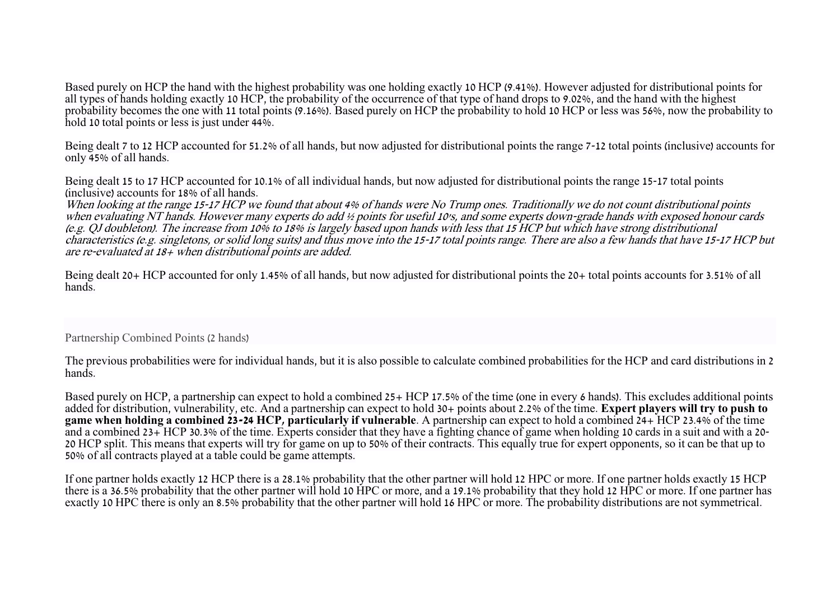Based purely on HCP the hand with the highest probability was one holding exactly 10 HCP (9.41%). However adjusted for distributional points for all types of hands holding exactly 10 HCP, the probability of the occurrence of that type of hand drops to 9.02%, and the hand with the highest probability becomes the one with 11 total points (9.16%). Based purely on HCP the probability to hold 10 HCP or less was 56%, now the probability to hold 10 total points or less is just under 44%.

Being dealt 7 to 12 HCP accounted for 51.2% of all hands, but now adjusted for distributional points the range 7-12 total points (inclusive) accounts for only 45% of all hands.

Being dealt 15 to 17 HCP accounted for 10.1% of all individual hands, but now adjusted for distributional points the range 15-17 total points (inclusive) accounts for 18% of all hands.

When looking at the range 15-17 HCP we found that about 4% of hands were No Trump ones. Traditionally we do not count distributional points when evaluating NT hands. However many experts do add ½ points for useful 10's, and some experts down-grade hands with exposed honour cards (e.g. QJ doubleton). The increase from 10% to 18% is largely based upon hands with less that 15 HCP but which have strong distributional characteristics (e.g. singletons, or solid long suits) and thus move into the 15-17 total points range. There are also a few hands that have 15-17 HCP but are re-evaluated at 18+ when distributional points are added.

Being dealt 20+ HCP accounted for only 1.45% of all hands, but now adjusted for distributional points the 20+ total points accounts for 3.51% of all hands.

# Partnership Combined Points (2 hands)

The previous probabilities were for individual hands, but it is also possible to calculate combined probabilities for the HCP and card distributions in 2 hands.

Based purely on HCP, a partnership can expect to hold a combined 25+ HCP 17.5% of the time (one in every 6 hands). This excludes additional points added for distribution, vulnerability, etc. And a partnership can expect to hold 30+ points about 2.2% of the time. **Expert players will try to push to game when holding a combined 23-24 HCP, particularly if vulnerable**. A partnership can expect to hold a combined 24+ HCP 23.4% of the time and a combined 23+ HCP 30.3% of the time. Experts consider that they have a fighting chance of game when holding 10 cards in a suit and with a 20- 20 HCP split. This means that experts will try for game on up to 50% of their contracts. This equally true for expert opponents, so it can be that up to 50% of all contracts played at a table could be game attempts.

If one partner holds exactly 12 HCP there is a 28.1% probability that the other partner will hold 12 HPC or more. If one partner holds exactly 15 HCP there is a 36.5% probability that the other partner will hold 10 HPC or more, and a 19.1% probability that they hold 12 HPC or more. If one partner has exactly 10 HPC there is only an 8.5% probability that the other partner will hold 16 HPC or more. The probability distributions are not symmetrical.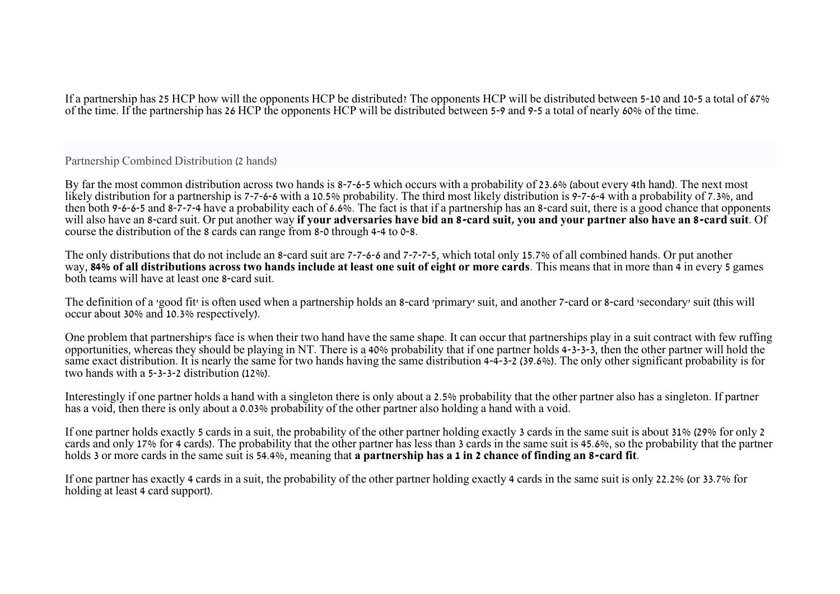If a partnership has 25 HCP how will the opponents HCP be distributed? The opponents HCP will be distributed between 5-10 and 10-5 a total of 67% of the time. If the partnership has 26 HCP the opponents HCP will be distributed between 5-9 and 9-5 a total of nearly 60% of the time.

Partnership Combined Distribution (2 hands)

By far the most common distribution across two hands is 8-7-6-5 which occurs with a probability of 23.6% (about every 4th hand). The next most likely distribution for a partnership is 7-7-6-6 with a 10.5% probability. The third most likely distribution is 9-7-6-4 with a probability of 7.3%, and then both 9-6-6-5 and 8-7-7-4 have a probability each of 6.6%. The fact is that if a partnership has an 8-card suit, there is a good chance that opponents will also have an 8-card suit. Or put another way **if your adversaries have bid an 8-card suit, you and your partner also have an 8-card suit**. Of course the distribution of the 8 cards can range from 8-0 through 4-4 to 0-8.

The only distributions that do not include an 8-card suit are 7-7-6-6 and 7-7-7-5, which total only 15.7% of all combined hands. Or put another way, **84% of all distributions across two hands include at least one suit of eight or more cards**. This means that in more than 4 in every 5 games both teams will have at least one 8-card suit.

The definition of a 'good fit' is often used when a partnership holds an 8-card 'primary' suit, and another 7-card or 8-card 'secondary' suit (this will occur about 30% and 10.3% respectively).

One problem that partnership's face is when their two hand have the same shape. It can occur that partnerships play in a suit contract with few ruffing opportunities, whereas they should be playing in NT. There is a 40% probability that if one partner holds 4-3-3-3, then the other partner will hold the same exact distribution. It is nearly the same for two hands having the same distribution 4-4-3-2 (39.6%). The only other significant probability is for two hands with a 5-3-3-2 distribution (12%).

Interestingly if one partner holds a hand with a singleton there is only about a 2.5% probability that the other partner also has a singleton. If partner has a void, then there is only about a 0.03% probability of the other partner also holding a hand with a void.

If one partner holds exactly 5 cards in a suit, the probability of the other partner holding exactly 3 cards in the same suit is about 31% (29% for only 2 cards and only 17% for 4 cards). The probability that the other partner has less than 3 cards in the same suit is 45.6%, so the probability that the partner holds 3 or more cards in the same suit is 54.4%, meaning that **a partnership has a 1 in 2 chance of finding an 8-card fit**.

If one partner has exactly 4 cards in a suit, the probability of the other partner holding exactly 4 cards in the same suit is only 22.2% (or 33.7% for holding at least 4 card support).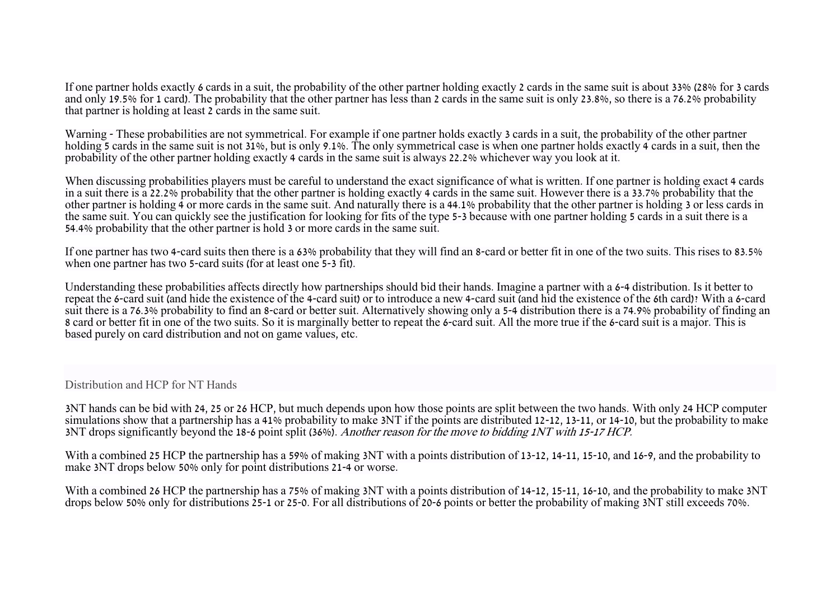If one partner holds exactly 6 cards in a suit, the probability of the other partner holding exactly 2 cards in the same suit is about 33% (28% for 3 cards and only 19.5% for 1 card). The probability that the other partner has less than 2 cards in the same suit is only 23.8%, so there is a 76.2% probability that partner is holding at least 2 cards in the same suit.

Warning - These probabilities are not symmetrical. For example if one partner holds exactly 3 cards in a suit, the probability of the other partner holding 5 cards in the same suit is not 31%, but is only 9.1%. The only symmetrical case is when one partner holds exactly 4 cards in a suit, then the probability of the other partner holding exactly 4 cards in the same suit is always 22.2% whichever way you look at it.

When discussing probabilities players must be careful to understand the exact significance of what is written. If one partner is holding exact 4 cards in a suit there is a 22.2% probability that the other partner is holding exactly 4 cards in the same suit. However there is a 33.7% probability that the other partner is holding 4 or more cards in the same suit. And naturally there is a 44.1% probability that the other partner is holding 3 or less cards in the same suit. You can quickly see the justification for looking for fits of the type 5-3 because with one partner holding 5 cards in a suit there is a 54.4% probability that the other partner is hold 3 or more cards in the same suit.

If one partner has two 4-card suits then there is a 63% probability that they will find an 8-card or better fit in one of the two suits. This rises to 83.5% when one partner has two 5-card suits (for at least one 5-3 fit).

Understanding these probabilities affects directly how partnerships should bid their hands. Imagine a partner with a 6-4 distribution. Is it better to repeat the 6-card suit (and hide the existence of the 4-card suit) or to introduce a new 4-card suit (and hid the existence of the 6th card)? With a 6-card suit there is a 76.3% probability to find an 8-card or better suit. Alternatively showing only a 5-4 distribution there is a 74.9% probability of finding an 8 card or better fit in one of the two suits. So it is marginally better to repeat the 6-card suit. All the more true if the 6-card suit is a major. This is based purely on card distribution and not on game values, etc.

Distribution and HCP for NT Hands

3NT hands can be bid with 24, 25 or 26 HCP, but much depends upon how those points are split between the two hands. With only 24 HCP computer simulations show that a partnership has a 41% probability to make 3NT if the points are distributed 12-12, 13-11, or 14-10, but the probability to make 3NT drops significantly beyond the 18-6 point split (36%). Another reason for the move to bidding 1NT with 15-17 HCP.

With a combined 25 HCP the partnership has a 59% of making 3NT with a points distribution of 13-12, 14-11, 15-10, and 16-9, and the probability to make 3NT drops below 50% only for point distributions 21-4 or worse.

With a combined 26 HCP the partnership has a 75% of making 3NT with a points distribution of 14-12, 15-11, 16-10, and the probability to make 3NT drops below 50% only for distributions 25-1 or 25-0. For all distributions of 20-6 points or better the probability of making 3NT still exceeds 70%.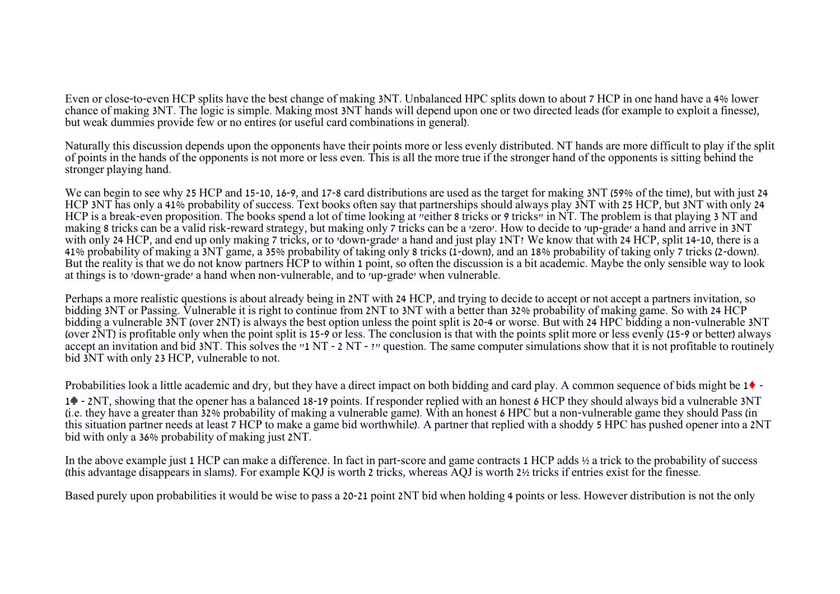Even or close-to-even HCP splits have the best change of making 3NT. Unbalanced HPC splits down to about 7 HCP in one hand have a 4% lower chance of making 3NT. The logic is simple. Making most 3NT hands will depend upon one or two directed leads (for example to exploit a finesse), but weak dummies provide few or no entires (or useful card combinations in general).

Naturally this discussion depends upon the opponents have their points more or less evenly distributed. NT hands are more difficult to play if the split of points in the hands of the opponents is not more or less even. This is all the more true if the stronger hand of the opponents is sitting behind the stronger playing hand.

We can begin to see why 25 HCP and 15-10, 16-9, and 17-8 card distributions are used as the target for making 3NT (59% of the time), but with just 24 HCP 3NT has only a 41% probability of success. Text books often say that partnerships should always play 3NT with 25 HCP, but 3NT with only 24 HCP is a break-even proposition. The books spend a lot of time looking at "either 8 tricks or 9 tricks" in NT. The problem is that playing 3 NT and making 8 tricks can be a valid risk-reward strategy, but making only 7 tricks can be a 'zero'. How to decide to 'up-grade' a hand and arrive in 3NT with only 24 HCP, and end up only making 7 tricks, or to 'down-grade' a hand and just play 1NT? We know that with 24 HCP, split 14-10, there is a 41% probability of making a 3NT game, a 35% probability of taking only 8 tricks (1-down), and an 18% probability of taking only 7 tricks (2-down). But the reality is that we do not know partners HCP to within 1 point, so often the discussion is a bit academic. Maybe the only sensible way to look at things is to 'down-grade' a hand when non-vulnerable, and to 'up-grade' when vulnerable.

Perhaps a more realistic questions is about already being in 2NT with 24 HCP, and trying to decide to accept or not accept a partners invitation, so bidding 3NT or Passing. Vulnerable it is right to continue from 2NT to 3NT with a better than 32% probability of making game. So with 24 HCP bidding a vulnerable 3NT (over 2NT) is always the best option unless the point split is 20-4 or worse. But with 24 HPC bidding a non-vulnerable 3NT (over 2NT) is profitable only when the point split is 15-9 or less. The conclusion is that with the points split more or less evenly (15-9 or better) always accept an invitation and bid 3NT. This solves the "1 NT - 2 NT - !" question. The same computer simulations show that it is not profitable to routinely bid 3NT with only 23 HCP, vulnerable to not.

Probabilities look a little academic and dry, but they have a direct impact on both bidding and card play. A common sequence of bids might be 1♦ -

1♠ - 2NT, showing that the opener has a balanced 18-19 points. If responder replied with an honest 6 HCP they should always bid a vulnerable 3NT (i.e. they have a greater than 32% probability of making a vulnerable game). With an honest 6 HPC but a non-vulnerable game they should Pass (in this situation partner needs at least 7 HCP to make a game bid worthwhile). A partner that replied with a shoddy 5 HPC has pushed opener into a 2NT bid with only a 36% probability of making just 2NT.

In the above example just 1 HCP can make a difference. In fact in part-score and game contracts 1 HCP adds ½ a trick to the probability of success (this advantage disappears in slams). For example KQJ is worth 2 tricks, whereas AQJ is worth 2½ tricks if entries exist for the finesse.

Based purely upon probabilities it would be wise to pass a 20-21 point 2NT bid when holding 4 points or less. However distribution is not the only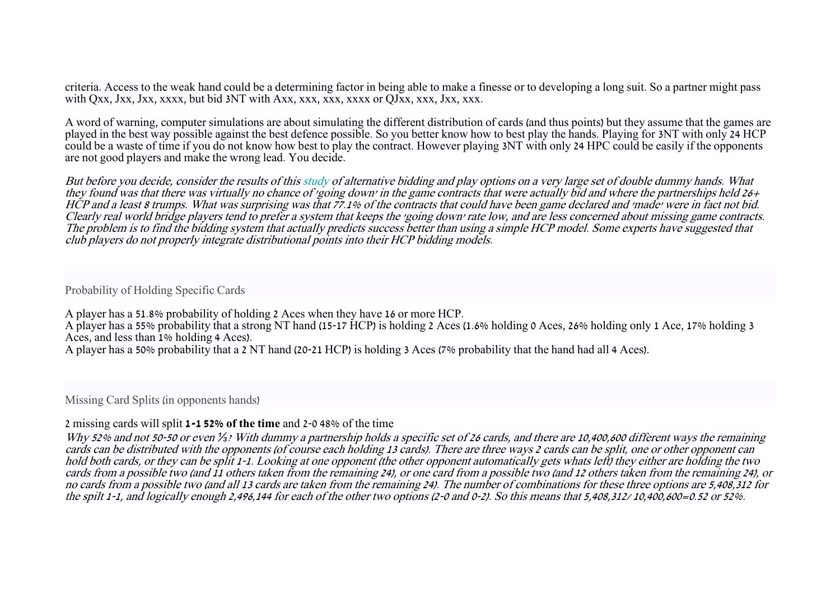criteria. Access to the weak hand could be a determining factor in being able to make a finesse or to developing a long suit. So a partner might pass with Oxx, Jxx, Xxxx, but bid 3NT with Axx, xxx, xxx, xxxx or OJxx, xxx, Jxx, xxx.

A word of warning, computer simulations are about simulating the different distribution of cards (and thus points) but they assume that the games are played in the best way possible against the best defence possible. So you better know how to best play the hands. Playing for 3NT with only 24 HCP could be a waste of time if you do not know how best to play the contract. However playing 3NT with only 24 HPC could be easily if the opponents are not good players and make the wrong lead. You decide.

But before you decide, consider the results of this [study](https://cs.brown.edu/research/pubs/theses/ugrad/2008/winograd-cort.pdf) of alternative bidding and play options on a very large set of double dummy hands. What they found was that there was virtually no chance of 'going down' in the game contracts that were actually bid and where the partnerships held  $26+$ HCP and a least 8 trumps. What was surprising was that 77.1% of the contracts that could have been game declared and 'made' were in fact not bid. Clearly real world bridge players tend to prefer a system that keeps the 'going down' rate low, and are less concerned about missing game contracts. The problem is to find the bidding system that actually predicts success better than using a simple HCP model. Some experts have suggested that club players do not properly integrate distributional points into their HCP bidding models.

## Probability of Holding Specific Cards

A player has a 51.8% probability of holding 2 Aces when they have 16 or more HCP. A player has a 55% probability that a strong NT hand (15-17 HCP) is holding 2 Aces (1.6% holding 0 Aces, 26% holding only 1 Ace, 17% holding 3 Aces, and less than 1% holding 4 Aces). A player has a 50% probability that a 2 NT hand (20-21 HCP) is holding 3 Aces (7% probability that the hand had all 4 Aces).

Missing Card Splits (in opponents hands)

## 2 missing cards will split **1-1 52% of the time** and 2-0 48% of the time

Why 52% and not 50-50 or even *⅓*? With dummy a partnership holds a specific set of 26 cards, and there are 10,400,600 different ways the remaining cards can be distributed with the opponents (of course each holding 13 cards). There are three ways 2 cards can be split, one or other opponent can hold both cards, or they can be split 1-1. Looking at one opponent (the other opponent automatically gets whats left) they either are holding the two cards from a possible two (and 11 others taken from the remaining 24), or one card from a possible two (and 12 others taken from the remaining 24), or no cards from a possible two (and all 13 cards are taken from the remaining 24). The number of combinations for these three options are 5,408,312 for the spilt 1-1, and logically enough 2,496,144 for each of the other two options (2-0 and 0-2). So this means that 5,408,312/ 10,400,600=0.52 or 52%.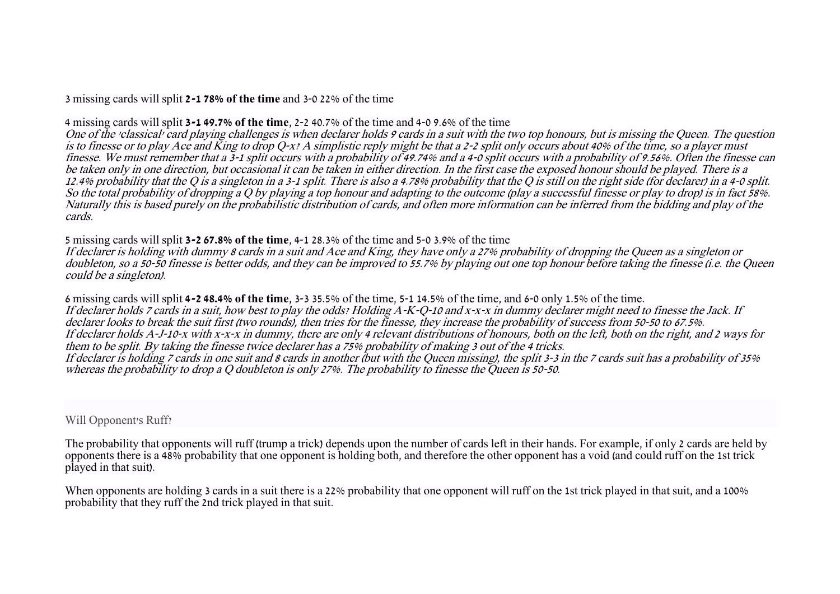3 missing cards will split **2-1 78% of the time** and 3-0 22% of the time

4 missing cards will split **3-1 49.7% of the time**, 2-2 40.7% of the time and 4-0 9.6% of the time

One of the 'classical' card playing challenges is when declarer holds 9 cards in a suit with the two top honours, but is missing the Queen. The question is to finesse or to play Ace and King to drop Q-x? A simplistic reply might be that a 2-2 split only occurs about 40% of the time, so a player must finesse. We must remember that a 3-1 split occurs with a probability of 49.74% and a 4-0 split occurs with a probability of 9.56%. Often the finesse can be taken only in one direction, but occasional it can be taken in either direction. In the first case the exposed honour should be played. There is a 12.4% probability that the Q is a singleton in a 3-1 split. There is also a 4.78% probability that the Q is still on the right side (for declarer) in a 4-0 split. So the total probability of dropping a O by playing a top honour and adapting to the outcome (play a successful finesse or play to drop) is in fact 58%. Naturally this is based purely on the probabilistic distribution of cards, and often more information can be inferred from the bidding and play of the cards.

5 missing cards will split **3-2 67.8% of the time**, 4-1 28.3% of the time and 5-0 3.9% of the time

If declarer is holding with dummy 8 cards in a suit and Ace and King, they have only a 27% probability of dropping the Queen as a singleton or doubleton, so a 50-50 finesse is better odds, and they can be improved to 55.7% by playing out one top honour before taking the finesse (i.e. the Queen could be a singleton).

6 missing cards will split **4-2 48.4% of the time**, 3-3 35.5% of the time, 5-1 14.5% of the time, and 6-0 only 1.5% of the time. If declarer holds 7 cards in a suit, how best to play the odds? Holding A-K-Q-10 and x-x-x in dummy declarer might need to finesse the Jack. If declarer looks to break the suit first (two rounds), then tries for the finesse, they increase the probability of success from 50-50 to 67.5%. If declarer holds A-J-10-x with x-x-x in dummy, there are only 4 relevant distributions of honours, both on the left, both on the right, and 2 ways for them to be split. By taking the finesse twice declarer has a 75% probability of making 3 out of the 4 tricks. If declarer is holding 7 cards in one suit and 8 cards in another (but with the Queen missing), the split 3-3 in the 7 cards suit has a probability of 35% whereas the probability to drop a Q doubleton is only 27%. The probability to finesse the Queen is 50-50.

Will Opponent's Ruff?

The probability that opponents will ruff (trump a trick) depends upon the number of cards left in their hands. For example, if only 2 cards are held by opponents there is a 48% probability that one opponent is holding both, and therefore the other opponent has a void (and could ruff on the 1st trick played in that suit).

When opponents are holding 3 cards in a suit there is a 22% probability that one opponent will ruff on the 1st trick played in that suit, and a 100% probability that they ruff the 2nd trick played in that suit.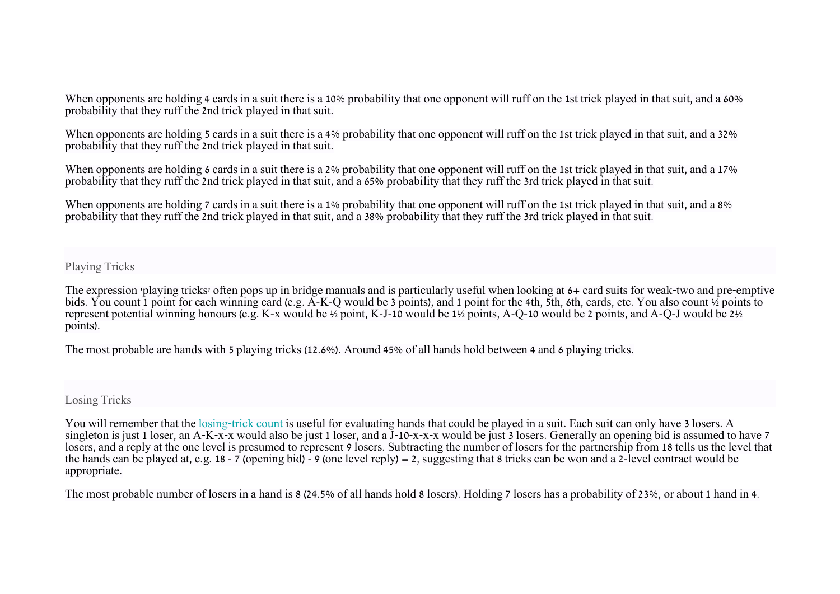When opponents are holding 4 cards in a suit there is a 10% probability that one opponent will ruff on the 1st trick played in that suit, and a 60% probability that they ruff the 2nd trick played in that suit.

When opponents are holding 5 cards in a suit there is a 4% probability that one opponent will ruff on the 1st trick played in that suit, and a 32% probability that they ruff the 2nd trick played in that suit.

When opponents are holding 6 cards in a suit there is a 2% probability that one opponent will ruff on the 1st trick played in that suit, and a 17% probability that they ruff the 2nd trick played in that suit, and a 65% probability that they ruff the 3rd trick played in that suit.

When opponents are holding 7 cards in a suit there is a 1% probability that one opponent will ruff on the 1st trick played in that suit, and a 8% probability that they ruff the 2nd trick played in that suit, and a 38% probability that they ruff the 3rd trick played in that suit.

Playing Tricks

The expression 'playing tricks' often pops up in bridge manuals and is particularly useful when looking at 6+ card suits for weak-two and pre-emptive bids. You count 1 point for each winning card (e.g. A-K-Q would be 3 points), and 1 point for the 4th, 5th, 6th, cards, etc. You also count ½ points to represent potential winning honours (e.g. K-x would be ½ point, K-J-10 would be 1½ points, A-Q-10 would be 2 points, and A-Q-J would be 2½ points).

The most probable are hands with 5 playing tricks (12.6%). Around 45% of all hands hold between 4 and 6 playing tricks.

Losing Tricks

You will remember that the [losing-trick count](https://en.wikipedia.org/wiki/Losing-Trick_Count) is useful for evaluating hands that could be played in a suit. Each suit can only have 3 losers. A singleton is just 1 loser, an A-K-x-x would also be just 1 loser, and a  $\overline{J}$ -10-x-x-x would be just 3 losers. Generally an opening bid is assumed to have 7 losers, and a reply at the one level is presumed to represent 9 losers. Subtracting the number of losers for the partnership from 18 tells us the level that the hands can be played at, e.g.  $18 - 7$  (opening bid)  $-9$  (one level reply) = 2, suggesting that 8 tricks can be won and a 2-level contract would be appropriate.

The most probable number of losers in a hand is 8 (24.5% of all hands hold 8 losers). Holding 7 losers has a probability of 23%, or about 1 hand in 4.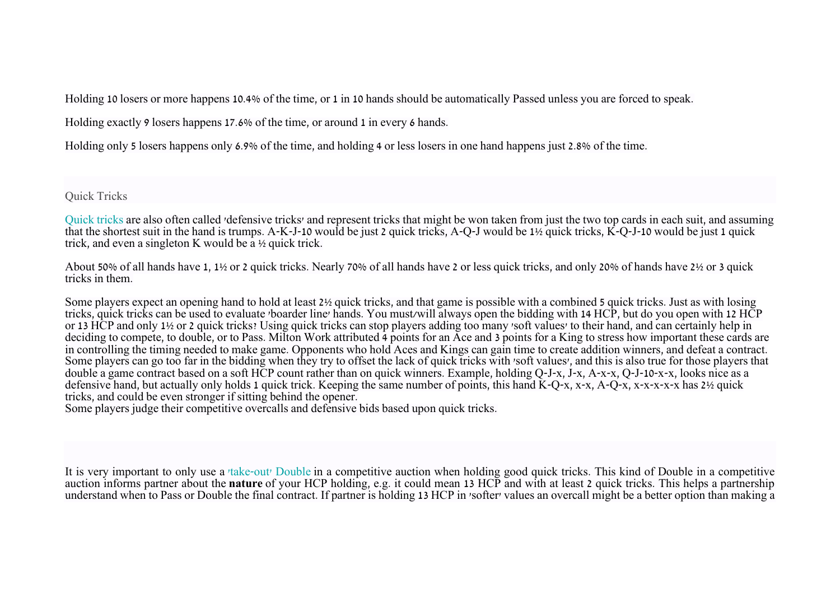Holding 10 losers or more happens 10.4% of the time, or 1 in 10 hands should be automatically Passed unless you are forced to speak.

Holding exactly 9 losers happens 17.6% of the time, or around 1 in every 6 hands.

Holding only 5 losers happens only 6.9% of the time, and holding 4 or less losers in one hand happens just 2.8% of the time.

Quick Tricks

[Quick tricks](https://en.wikipedia.org/wiki/Hand_evaluation#Quick_Tricks) are also often called 'defensive tricks' and represent tricks that might be won taken from just the two top cards in each suit, and assuming that the shortest suit in the hand is trumps. A-K-J-10 would be just 2 quick tricks, A-Q-J would be 1½ quick tricks, K-Q-J-10 would be just 1 quick trick, and even a singleton K would be a ½ quick trick.

About 50% of all hands have 1, 1½ or 2 quick tricks. Nearly 70% of all hands have 2 or less quick tricks, and only 20% of hands have 2½ or 3 quick tricks in them.

Some players expect an opening hand to hold at least 2½ quick tricks, and that game is possible with a combined 5 quick tricks. Just as with losing tricks, quick tricks can be used to evaluate 'boarder line' hands. You must/will always open the bidding with 14 HCP, but do you open with 12 HCP or 13 HCP and only 1½ or 2 quick tricks? Using quick tricks can stop players adding too many 'soft values' to their hand, and can certainly help in deciding to compete, to double, or to Pass. Milton Work attributed 4 points for an Ace and 3 points for a King to stress how important these cards are in controlling the timing needed to make game. Opponents who hold Aces and Kings can gain time to create addition winners, and defeat a contract. Some players can go too far in the bidding when they try to offset the lack of quick tricks with 'soft values', and this is also true for those players that double a game contract based on a soft HCP count rather than on quick winners. Example, holding Q-J-x, J-x, A-x-x, Q-J-10-x-x, looks nice as a defensive hand, but actually only holds 1 quick trick. Keeping the same number of points, this hand  $K-Q-x$ , x-x,  $A-Q-x$ , x-x-x-x-x has 2½ quick tricks, and could be even stronger if sitting behind the opener.

Some players judge their competitive overcalls and defensive bids based upon quick tricks.

It is very important to only use a ['take-out' Double](https://en.wikipedia.org/wiki/Takeout_double) in a competitive auction when holding good quick tricks. This kind of Double in a competitive auction informs partner about the **nature** of your HCP holding, e.g. it could mean 13 HCP and with at least 2 quick tricks. This helps a partnership understand when to Pass or Double the final contract. If partner is holding 13 HCP in 'softer' values an overcall might be a better option than making a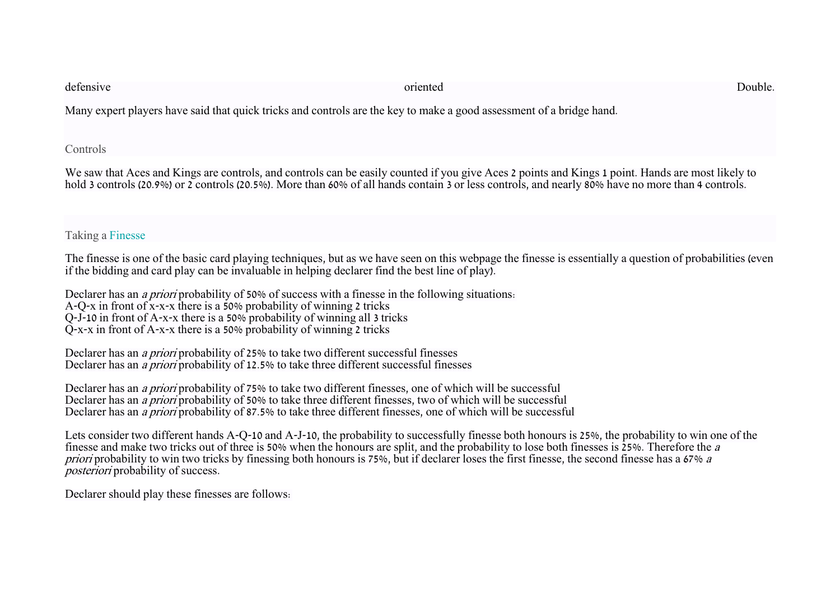| defensive                                                                                                            | oriented | Double. |
|----------------------------------------------------------------------------------------------------------------------|----------|---------|
| Many expert players have said that quick tricks and controls are the key to make a good assessment of a bridge hand. |          |         |
| Controls                                                                                                             |          |         |

We saw that Aces and Kings are controls, and controls can be easily counted if you give Aces 2 points and Kings 1 point. Hands are most likely to hold 3 controls (20.9%) or 2 controls (20.5%). More than 60% of all hands contain 3 or less controls, and nearly 80% have no more than 4 controls.

# Taking a [Finesse](https://en.wikipedia.org/wiki/Finesse)

The finesse is one of the basic card playing techniques, but as we have seen on this webpage the finesse is essentially a question of probabilities (even if the bidding and card play can be invaluable in helping declarer find the best line of play).

Declarer has an *a priori* probability of 50% of success with a finesse in the following situations: A-Q-x in front of x-x-x there is a 50% probability of winning 2 tricks Q-J-10 in front of A-x-x there is a 50% probability of winning all 3 tricks Q-x-x in front of A-x-x there is a 50% probability of winning 2 tricks

Declarer has an a priori probability of 25% to take two different successful finesses Declarer has an *a priori* probability of 12.5% to take three different successful finesses

Declarer has an *a priori* probability of 75% to take two different finesses, one of which will be successful Declarer has an *a priori* probability of 50% to take three different finesses, two of which will be successful Declarer has an *a priori* probability of 87.5% to take three different finesses, one of which will be successful

Lets consider two different hands A-Q-10 and A-J-10, the probability to successfully finesse both honours is 25%, the probability to win one of the finesse and make two tricks out of three is 50% when the honours are split, and the probability to lose both finesses is 25%. Therefore the <sup>a</sup> priori probability to win two tricks by finessing both honours is 75%, but if declarer loses the first finesse, the second finesse has a 67% a posteriori probability of success.

Declarer should play these finesses are follows: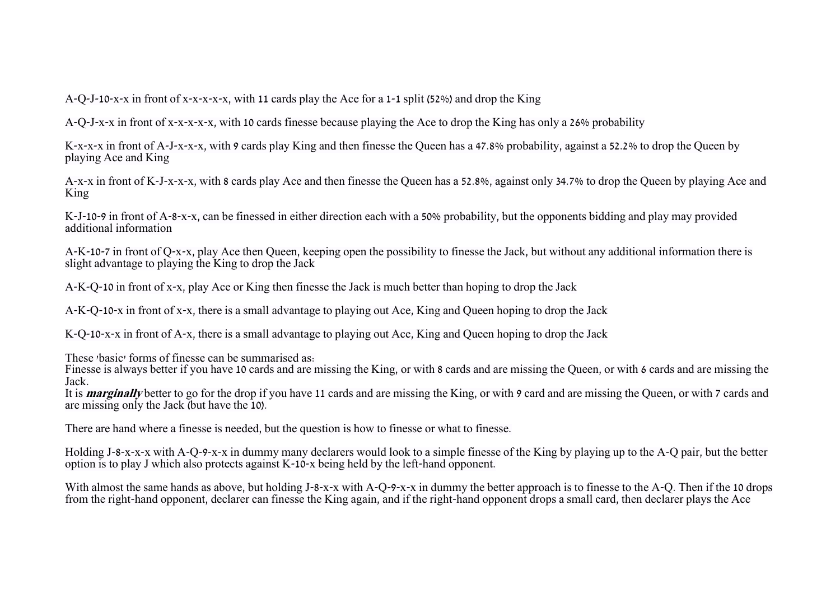A-Q-J-10-x-x in front of x-x-x-x-x, with 11 cards play the Ace for a 1-1 split (52%) and drop the King

A-Q-J-x-x in front of x-x-x-x-x, with 10 cards finesse because playing the Ace to drop the King has only a 26% probability

K-x-x-x in front of A-J-x-x-x, with 9 cards play King and then finesse the Queen has a 47.8% probability, against a 52.2% to drop the Queen by playing Ace and King

A-x-x in front of K-J-x-x-x, with 8 cards play Ace and then finesse the Queen has a 52.8%, against only 34.7% to drop the Queen by playing Ace and King

K-J-10-9 in front of A-8-x-x, can be finessed in either direction each with a 50% probability, but the opponents bidding and play may provided additional information

A-K-10-7 in front of Q-x-x, play Ace then Queen, keeping open the possibility to finesse the Jack, but without any additional information there is slight advantage to playing the King to drop the Jack

A-K-Q-10 in front of x-x, play Ace or King then finesse the Jack is much better than hoping to drop the Jack

A-K-Q-10-x in front of x-x, there is a small advantage to playing out Ace, King and Queen hoping to drop the Jack

K-Q-10-x-x in front of A-x, there is a small advantage to playing out Ace, King and Queen hoping to drop the Jack

These 'basic' forms of finesse can be summarised as:

Finesse is always better if you have 10 cards and are missing the King, or with 8 cards and are missing the Queen, or with 6 cards and are missing the Jack.

It is **marginally** better to go for the drop if you have 11 cards and are missing the King, or with 9 card and are missing the Queen, or with 7 cards and are missing only the Jack (but have the 10).

There are hand where a finesse is needed, but the question is how to finesse or what to finesse.

Holding J-8-x-x-x with A-Q-9-x-x in dummy many declarers would look to a simple finesse of the King by playing up to the A-Q pair, but the better option is to play J which also protects against K-10-x being held by the left-hand opponent.

With almost the same hands as above, but holding J-8-x-x with A-Q-9-x-x in dummy the better approach is to finesse to the A-Q. Then if the 10 drops from the right-hand opponent, declarer can finesse the King again, and if the right-hand opponent drops a small card, then declarer plays the Ace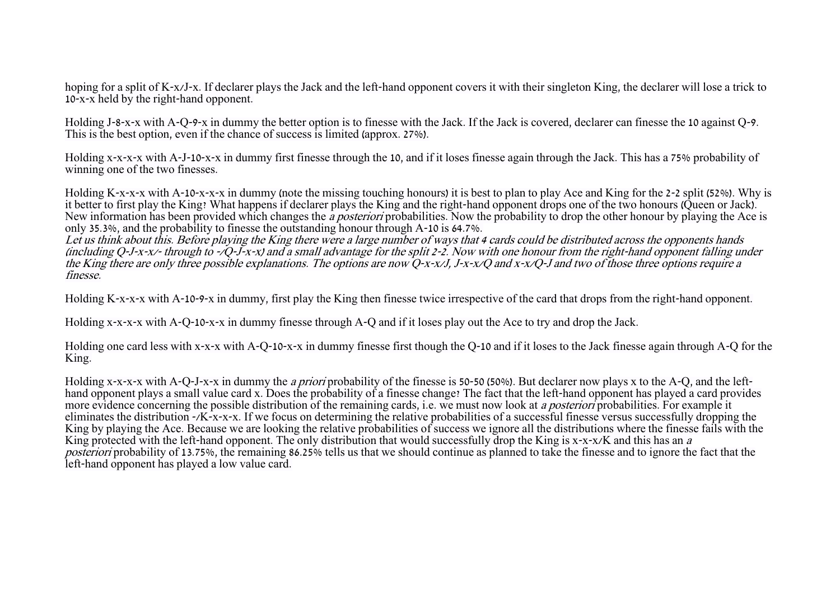hoping for a split of K-x/J-x. If declarer plays the Jack and the left-hand opponent covers it with their singleton King, the declarer will lose a trick to 10-x-x held by the right-hand opponent.

Holding J-8-x-x with A-Q-9-x in dummy the better option is to finesse with the Jack. If the Jack is covered, declarer can finesse the 10 against Q-9. This is the best option, even if the chance of success is limited (approx. 27%).

Holding x-x-x-x with A-J-10-x-x in dummy first finesse through the 10, and if it loses finesse again through the Jack. This has a 75% probability of winning one of the two finesses.

Holding K-x-x-x with A-10-x-x-x in dummy (note the missing touching honours) it is best to plan to play Ace and King for the 2-2 split (52%). Why is it better to first play the King? What happens if declarer plays the King and the right-hand opponent drops one of the two honours (Queen or Jack). New information has been provided which changes the *a posteriori* probabilities. Now the probability to drop the other honour by playing the Ace is only 35.3%, and the probability to finesse the outstanding honour through A-10 is 64.7%.

Let us think about this. Before playing the King there were a large number of ways that 4 cards could be distributed across the opponents hands (including  $Q$ -J-x-x/- through to -/ $Q$ -J-x-x) and a small advantage for the split 2-2. Now with one honour from the right-hand opponent falling under the King there are only three possible explanations. The options are now  $Q$ -x-x/J, J-x-x/Q and x-x/Q-J and two of those three options require a finesse.

Holding K-x-x-x with A-10-9-x in dummy, first play the King then finesse twice irrespective of the card that drops from the right-hand opponent.

Holding x-x-x-x with A-Q-10-x-x in dummy finesse through A-Q and if it loses play out the Ace to try and drop the Jack.

Holding one card less with x-x-x with A-Q-10-x-x in dummy finesse first though the Q-10 and if it loses to the Jack finesse again through A-Q for the King.

Holding x-x-x-x with A-Q-J-x-x in dummy the *a priori* probability of the finesse is 50-50 (50%). But declarer now plays x to the A-Q, and the lefthand opponent plays a small value card x. Does the probability of a finesse change? The fact that the left-hand opponent has played a card provides more evidence concerning the possible distribution of the remaining cards, i.e. we must now look at a posteriori probabilities. For example it eliminates the distribution -/K-x-x-x. If we focus on determining the relative probabilities of a successful finesse versus successfully dropping the King by playing the Ace. Because we are looking the relative probabilities of success we ignore all the distributions where the finesse fails with the King protected with the left-hand opponent. The only distribution that would successfully drop the King is x-x-x/K and this has an a posteriori probability of 13.75%, the remaining 86.25% tells us that we should continue as planned to take the finesse and to ignore the fact that the left-hand opponent has played a low value card.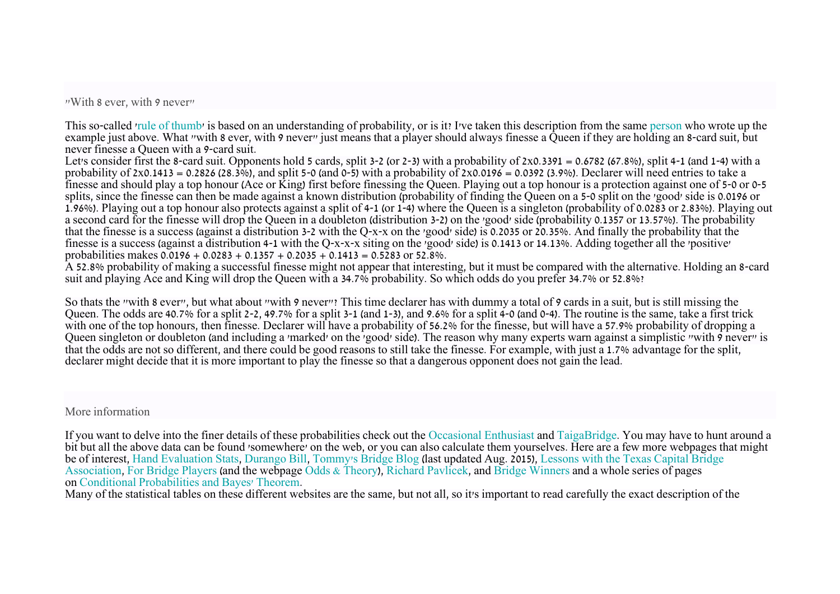"With 8 ever, with 9 never"

This so-called ['rule of thumb'](https://en.wikipedia.org/wiki/Rule_of_thumb) is based on an understanding of probability, or is it? I've taken this description from the same [person](http://www.durangobill.com/BrSplitHowTo.html) who wrote up the example just above. What "with 8 ever, with 9 never" just means that a player should always finesse a Queen if they are holding an 8-card suit, but never finesse a Queen with a 9-card suit.

Let's consider first the 8-card suit. Opponents hold 5 cards, split 3-2 (or 2-3) with a probability of  $2 \times 0.3391 = 0.6782$  (67.8%), split 4-1 (and 1-4) with a probability of 2x0.1413 = 0.2826 (28.3%), and split 5-0 (and 0-5) with a probability of 2x0.0196 = 0.0392 (3.9%). Declarer will need entries to take a finesse and should play a top honour (Ace or King) first before finessing the Queen. Playing out a top honour is a protection against one of 5-0 or 0-5 splits, since the finesse can then be made against a known distribution (probability of finding the Queen on a 5-0 split on the 'good' side is 0.0196 or 1.96%). Playing out a top honour also protects against a split of 4-1 (or 1-4) where the Queen is a singleton (probability of 0.0283 or 2.83%). Playing out a second card for the finesse will drop the Queen in a doubleton (distribution 3-2) on the 'good' side (probability 0.1357 or 13.57%). The probability that the finesse is a success (against a distribution 3-2 with the Q-x-x on the 'good' side) is 0.2035 or 20.35%. And finally the probability that the finesse is a success (against a distribution 4-1 with the Q-x-x-x siting on the 'good' side) is 0.1413 or 14.13%. Adding together all the 'positive' probabilities makes  $0.0196 + 0.0283 + 0.1357 + 0.2035 + 0.1413 = 0.5283$  or  $52.8\%$ .

A 52.8% probability of making a successful finesse might not appear that interesting, but it must be compared with the alternative. Holding an 8-card suit and playing Ace and King will drop the Queen with a 34.7% probability. So which odds do you prefer 34.7% or 52.8%?

So thats the "with 8 ever", but what about "with 9 never"? This time declarer has with dummy a total of 9 cards in a suit, but is still missing the Queen. The odds are 40.7% for a split 2-2, 49.7% for a split 3-1 (and 1-3), and 9.6% for a split 4-0 (and 0-4). The routine is the same, take a first trick with one of the top honours, then finesse. Declarer will have a probability of 56.2% for the finesse, but will have a 57.9% probability of dropping a Queen singleton or doubleton (and including a 'marked' on the 'good' side). The reason why many experts warn against a simplistic "with  $\frac{1}{2}$  never" is that the odds are not so different, and there could be good reasons to still take the finesse. For example, with just a 1.7% advantage for the split, declarer might decide that it is more important to play the finesse so that a dangerous opponent does not gain the lead.

More information

If you want to delve into the finer details of these probabilities check out the [Occasional Enthusiast](http://www.occasionalenthusiast.com/bridge-hand-probability-analysis/) and [TaigaBridge.](https://taigabridge.net/index.htm) You may have to hunt around a bit but all the above data can be found 'somewhere' on the web, or you can also calculate them yourselves. Here are a few more webpages that might be of interest, [Hand Evaluation Stats,](http://www.rpbridge.net/8j17.htm) [Durango Bill,](http://www.durangobill.com/Bridge.html) [Tommy's Bridge Blog](http://tommybridgeblog.blogspot.com/) (last updated Aug. 2015), [Lessons with the Texas Capital Bridge](http://www.austinbridge.org/sbruce/lecture/LectureHandouts.html)  [Association,](http://www.austinbridge.org/sbruce/lecture/LectureHandouts.html) [For Bridge Players](http://www.rpbridge.net/index.htm) (and the webpage [Odds & Theory\)](http://www.rpbridge.net/rpot.htm), [Richard Pavlicek,](http://www.rpbridge.net/rpot.htm) and [Bridge Winners](https://bridgewinners.com/) and a whole series of pages on [Conditional Probabilities and Bayes' Theorem.](https://bridgewinners.com/article/view/conditional-probabilities-and-bayes-theorem/)

Many of the statistical tables on these different websites are the same, but not all, so it's important to read carefully the exact description of the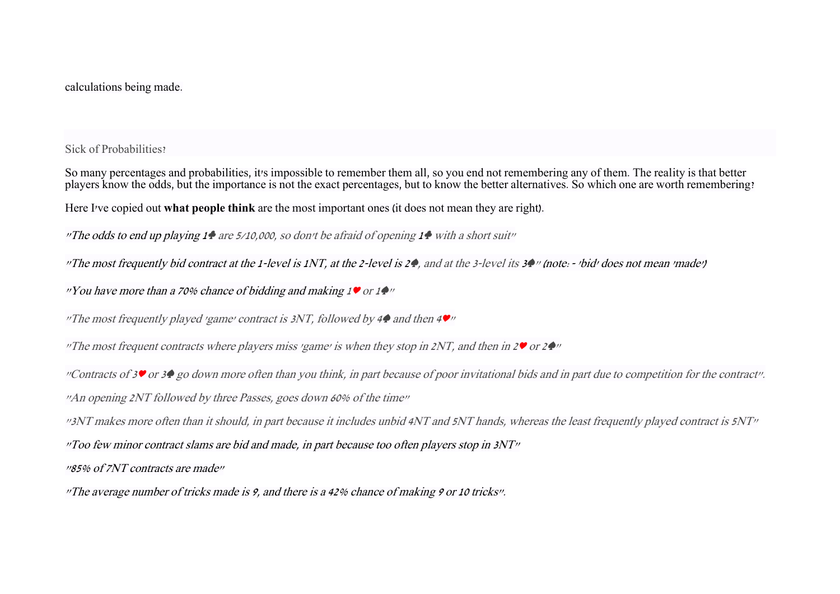calculations being made.

Sick of Probabilities?

So many percentages and probabilities, it's impossible to remember them all, so you end not remembering any of them. The reality is that better players know the odds, but the importance is not the exact percentages, but to know the better alternatives. So which one are worth remembering?

Here I've copied out **what people think** are the most important ones (it does not mean they are right).

"The odds to end up playing  $1 \bullet$  are 5/10,000, so don't be afraid of opening  $1 \bullet$  with a short suit"

"The most frequently bid contract at the 1-level is 1NT, at the 2-level is 2♠, and at the 3-level its <sup>3</sup>♠" (note:- 'bid' does not mean 'made')

"You have more than a 70% chance of bidding and making <sup>1</sup>♥ or 1♠"

"The most frequently played 'game' contract is 3NT, followed by 4 $\bullet$  and then 4 $\bullet$ "

"The most frequent contracts where players miss 'game' is when they stop in 2NT, and then in 2♥ or 2♠"

"Contracts of 3♥ or 3♦ go down more often than you think, in part because of poor invitational bids and in part due to competition for the contract". "An opening 2NT followed by three Passes, goes down 60% of the time"

"3NT makes more often than it should, in part because it includes unbid 4NT and 5NT hands, whereas the least frequently played contract is 5NT"

 $\sqrt{y}$  Too few minor contract slams are bid and made, in part because too often players stop in 3NT $\sqrt{y}$ 

"85% of 7NT contracts are made"

"The average number of tricks made is  $9$ , and there is a 42% chance of making  $9$  or 10 tricks".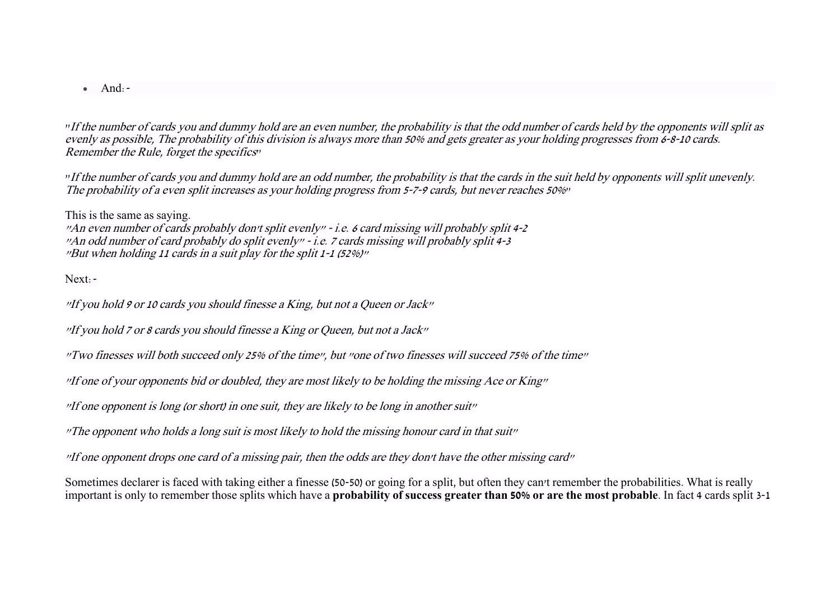$\bullet$  And:  $\text{-}$ 

"If the number of cards you and dummy hold are an even number, the probability is that the odd number of cards held by the opponents will split as evenly as possible, The probability of this division is always more than 50% and gets greater as your holding progresses from 6-8-10 cards. Remember the Rule, forget the specifics"

"If the number of cards you and dummy hold are an odd number, the probability is that the cards in the suit held by opponents will split unevenly. The probability of a even split increases as your holding progress from 5-7-9 cards, but never reaches 50%"

This is the same as saying. "An even number of cards probably don't split evenly" - i.e. 6 card missing will probably split 4-2 "An odd number of card probably do split evenly" - i.e. 7 cards missing will probably split 4-3 "But when holding 11 cards in a suit play for the split 1-1 (52%)"

Next:-

"If you hold 9 or 10 cards you should finesse a King, but not a Queen or Jack"

"If you hold 7 or 8 cards you should finesse a King or Queen, but not a Jack"

"Two finesses will both succeed only 25% of the time", but "one of two finesses will succeed 75% of the time"

"If one of your opponents bid or doubled, they are most likely to be holding the missing Ace or King"

"If one opponent is long (or short) in one suit, they are likely to be long in another suit"

"The opponent who holds a long suit is most likely to hold the missing honour card in that suit"

"If one opponent drops one card of a missing pair, then the odds are they don't have the other missing card"

Sometimes declarer is faced with taking either a finesse (50-50) or going for a split, but often they can't remember the probabilities. What is really important is only to remember those splits which have a **probability of success greater than 50% or are the most probable**. In fact 4 cards split 3-1